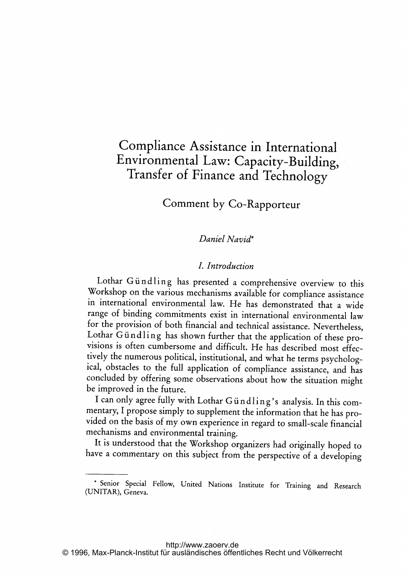# Compliance Assistance in International Environmental Law: Capacity-Building, Transfer of Finance and Technology

# Comment by Co-Rapporteur

### Daniel Navid\*

## I. Introduction

Lothar Giindling has presented <sup>a</sup> comprehensive overview to this Workshop on the various mechanisms available for compliance assistance in international environmental law. He has demonstrated that <sup>a</sup> wide range of binding commitments exist in international environmental law for the provision of both financial and technical assistance. Nevertheless, Lothar Gündling has shown further that the application of these provisions is often cumbersome and difficult. He has described most effectively the numerous political, institutional, and what he terms psychological, obstacles to the full application of compliance assistance, and has concluded by offering some observations about how the situation might be improved in the future.

I can only agree fully with Lothar Gündling's analysis. In this commentary, <sup>I</sup> propose simply to supplement the information that he has provided on the basis of my own experience in regard to small-scale financial mechanisms and environmental training.

It is understood that the Workshop organizers had originally hoped to have <sup>a</sup> commentary on this subject from the perspective of <sup>a</sup> developing

Senior Special Fellow, United Nations Institute for Training and Research (UNITAR), Geneva.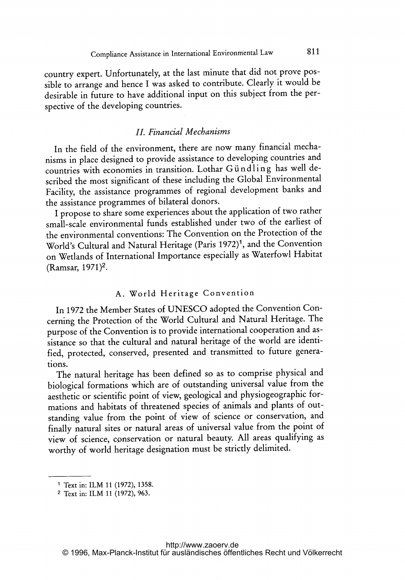country expert. Unfortunately, at the last minute that did not prove possible to arrange and hence <sup>I</sup> was asked to contribute. Clearly it would be desirable in future to have additional input on this subject from the perspective of the developing countries.

## IL Financial Mechanisms

In the field of the environment, there are now many financial mechanisms in place designed to provide assistance to developing countries and countries with economies in transition. Lothar Gündling has well described the most significant of these including the Global Environmental Facility, the assistance programmes of regional development banks and the assistance programmes of bilateral donors.

<sup>I</sup> propose to share some experiences about the application of two rather small-scale environmental funds established under two of the earliest of the environmental conventions: The Convention on the Protection of the World's Cultural and Natural Heritage (Paris 1972)<sup>1</sup>, and the Convention on Wetlands of International Importance especially as Waterfowl Habitat (Ramsar, 1971)2.

# A. World Heritage Convention

In <sup>1972</sup> the Member States of UNESCO adopted the Convention Concerning the Protection of the World Cultural and Natural Heritage. The purpose of the Convention is to provide international cooperation and assistance so that the cultural and natural heritage of the world are identified, protected, conserved, presented and transmitted to future generations.

The natural heritage has been defined so as to comprise physical and biological formations which are of outstanding universal value from the aesthetic or scientific point of view, geological and physiogeographic formations and habitats of threatened species of animals and plants of outstanding value from the point of view of science or conservation, and finally natural sites or natural areas of universal value from the point of view of science, conservation or natural beauty. All areas qualifying as worthy of world heritage designation must be strictly delimited.

<sup>&#</sup>x27; Text in: ILM <sup>11</sup> (1972), 1358.

<sup>2</sup> Text in: ILM <sup>11</sup> (1972), 963.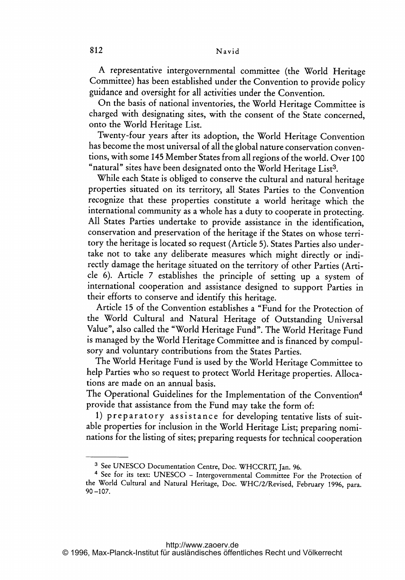A representative intergovernmental committee (the World Heritage Committee) has been established under the Convention to provide policy guidance and oversight for all activities under the Convention.

On the basis of national inventories, the World Heritage Committee is charged with designating sites, with the consent of the State concerned, onto the World Heritage List.

Twenty-four years after its adoption, the World Heritage Convention has become the most universal of all the global nature conservation conventions, with some <sup>145</sup> Member States from all regions of the world. Over <sup>100</sup> "natural" sites have been designated onto the World Heritage List<sup>3</sup>.

While each State is obliged to conserve the cultural and natural heritage properties situated on its territory, all States Parties to the Convention recognize that these properties constitute <sup>a</sup> world heritage which the international community as <sup>a</sup> whole has <sup>a</sup> duty to cooperate in protecting. All States Parties undertake to provide assistance in the identification, conservation and preservation of the heritage if the States on whose territory the heritage is located so request (Article 5). States Parties also undertake not to take any deliberate measures which might directly or indirectly damage the heritage situated on the territory of other Parties (Article 6). Article <sup>7</sup> establishes the principle of setting up <sup>a</sup> system of international cooperation and assistance designed to support Parties in their efforts to conserve and identify this heritage.

Article 15 of the Convention establishes a "Fund for the Protection of the World Cultural and Natural Heritage of Outstanding Universal Value", also called the "World Heritage Fund". The World Heritage Fund is managed by the World Heritage Committee and is financed by compulsory and voluntary contributions from the States Parties.

The World Heritage Fund is used by the World Heritage Committee to help Parties who so request to protect World Heritage properties. Allocations are made on an annual basis.

The Operational Guidelines for the Implementation of the Convention<sup>4</sup> provide that assistance from the Fund may take the form of:

1) preparatory assistance for developing tentative lists of suitable properties for inclusion in the World Heritage List; preparing nominations for the listing of sites; preparing requests for technical cooperation

<sup>3</sup> See UNESCO Documentation Centre, Doc. WHCCRIT, Jan. 96.

<sup>4</sup> See for its text: UNESCO - Intergovernmental Committee For the Protection of the World Cultural and Natural Heritage, Doc. WHC/2/Revised, February 1996, para. 90-107.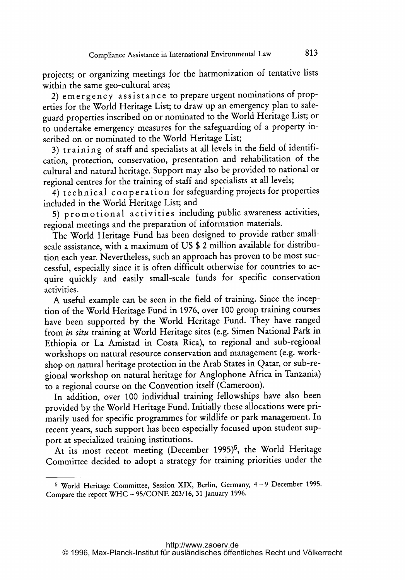projects; or organizing meetings for the harmonization of tentative lists within the same geo-cultural area;

2) emergency assistance to prepare urgent nominations of properties for the World Heritage List; to draw up an emergency plan to safeguard properties inscribed on or nominated to the World Heritage List; or to undertake emergency measures for the safeguarding of <sup>a</sup> property inscribed on or nominated to the World Heritage List;

3) training of staff and specialists at all levels in the field of identification, protection, conservation, presentation and rehabilitation of the cultural and natural heritage. Support may also be provided to national or regional centres for the training of staff and specialists at all levels;

4) technical cooperation for safeguarding projects for properties included in the World Heritage List; and

5) promotional activities including public awareness activities, regional meetings and the preparation of information materials.

The World Heritage Fund has been designed to provide rather smallscale assistance, with <sup>a</sup> maximum of US \$ <sup>2</sup> million available for distribution each year. Nevertheless, such an approach has proven to be most successful, especially since it is often difficult otherwise for countries to acquire quickly and easily small-scale funds for specific conservation activities.

A useful example can be seen in the field of training. Since the inception of the World Heritage Fund in 1976, over <sup>100</sup> group training courses have been supported by the World Heritage Fund. They have ranged from in situ training at World Heritage sites (e.g. Simen National Park in Ethiopia or La Amistad in Costa Rica), to regional and sub-regional workshops on natural resource conservation and management (e.g. workshop on natural heritage protection in the Arab States in Qatar, or sub-regional workshop on natural heritage for Anglophone Africa in Tanzania) to <sup>a</sup> regional course on the Convention itself (Cameroon).

In addition, over <sup>100</sup> individual training fellowships have also been provided by the World Heritage Fund. Initially these allocations were primarily used for specific programmes for wildlife or park management. In recent years, such support has been especially focused upon student support at specialized training institutions.

At its most recent meeting (December 1995)<sup>5</sup>, the World Heritage Committee decided to adopt <sup>a</sup> strategy for training priorities under the

<sup>5</sup> World Heritage Committee, Session XIX, Berlin, Germany, <sup>4</sup> - <sup>9</sup> December 1995. Compare the report WHC - 95/CONE 203/16, <sup>31</sup> January 1996.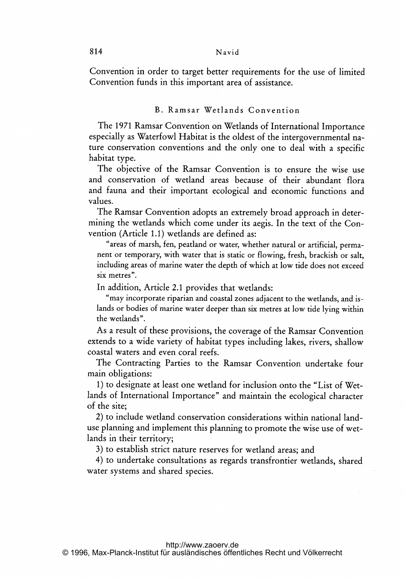Convention in order to target better requirements for the use of limited Convention funds in this important area of assistance.

#### B. Ramsar Wetlands Convention

The <sup>1971</sup> Ramsar Convention on Wetlands of International Importance especially as Waterfowl Habitat is the oldest of the intergovernmental nature conservation conventions and the only one to deal with <sup>a</sup> specific habitat type.

The objective of the Ramsar Convention is to ensure the wise use and conservation of wetland areas because of their abundant flora and fauna and their important ecological and economic functions and values.

The Ramsar Convention adopts an extremely broad approach in determining the wetlands which come under its aegis. In the text of the Convention (Article 1.1) wetlands are defined as:

"areas of marsh, fen, peatland or water, whether natural or artificial, permanent or temporary, with water that is static or flowing, fresh, brackish or salt, including areas of marine water the depth of which at low tide does not exceed six metres".

In addition, Article 2.1 provides that wetlands:

"may incorporate riparian and coastal zones adjacent to the wetlands, and islands or bodies of marine water deeper than six metres at low tide lying within the wetlands".

As <sup>a</sup> result of these provisions, the coverage of the Ramsar Convention extends to <sup>a</sup> wide variety of habitat types including lakes, rivers, shallow coastal waters and even coral reefs.

The Contracting Parties to the Ramsar Convention undertake four main obligations:

1) to designate at least one wetland for inclusion onto the "List of Wetlands of International Importance" and maintain the ecological character of the site;

2) to include wetland conservation considerations within national landuse planning and implement this planning to promote the wise use of wetlands in their territory;

3) to establish strict nature reserves for wetland areas; and

4) to undertake consultations as regards transfrontier wetlands, shared water systems and shared species.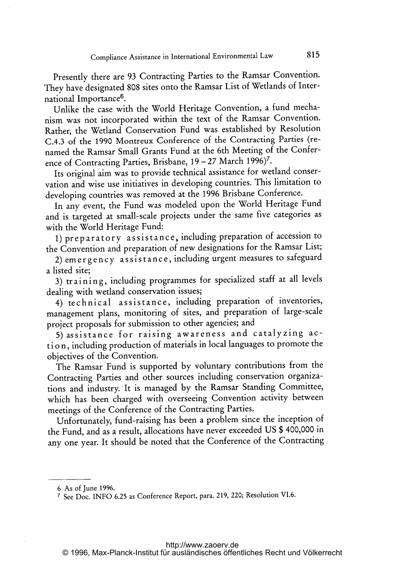Presently there are <sup>93</sup> Contracting Parties to the Ramsar Convention. They have designated 808 sites onto the Ramsar List of Wetlands of International Importance6.

Unlike the case with the World Heritage Convention, <sup>a</sup> fund mechanism was not incorporated within the text of the Ramsar Convention. Rather, the Wetland Conservation Fund was established by Resolution C.4.3 of the 1990 Montreux Conference of the Contracting Parties (renamed the Ramsar Small Grants Fund at the 6th Meeting of the Conference of Contracting Parties, Brisbane, 19 - 27 March 1996)<sup>7</sup>.

Its original aim was to provide technical assistance for wetland conservation and wise use initiatives in developing countries. This limitation to developing countries was removed at the 1996 Brisbane Conference.

In any event, the Fund was modeled upon the World Heritage Fund and is targeted at small-scale projects under the same five categories as with the World Heritage Fund:

1) preparatory assistance., including preparation of accession to the Convention and preparation of new designations for the Ramsar List;

2) emergency assistance, including urgent measures to safeguard a listed site;

3) training, including programmes for specialized staff at all levels dealing with wetland conservation issues;

4) technical assistance, including preparation of inventories, management plans, monitoring of sites, and preparation of large-scale project proposals for submission to other agencies; and

5) assistance for raising awareness and catalyzing action, including production of materials in local languages to promote the objectives of the Convention.

The Ramsar Fund is supported by voluntary contributions from the Contracting Parties and other sources including conservation organizations and industry. It is managed by the Ramsar Standing Committee, which has been charged with overseeing Convention activity between meetings of the Conference of the Contracting Parties.

Unfortunately, fund-raising has been <sup>a</sup> problem since the inception of the Fund, and as <sup>a</sup> result, allocations have never exceeded US \$ 400,000 in any one year. It should be noted that the Conference of the Contracting

<sup>6</sup> As of June 1996.

<sup>&</sup>lt;sup>7</sup> See Doc. INFO 6.25 as Conference Report, para. 219, 220; Resolution VI.6.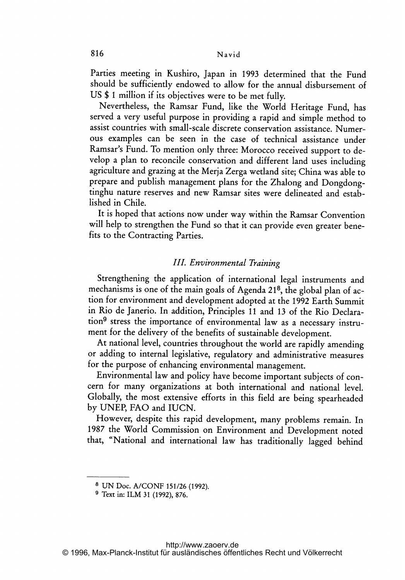Parties meeting in Kushiro, Japan in <sup>1993</sup> determined that the Fund should be sufficiently endowed to allow for the annual disbursement of US \$ <sup>1</sup> million if its objectives were to be met fully.

Nevertheless, the Ramsar Fund, like the World Heritage Fund, has served <sup>a</sup> very useful purpose in providing <sup>a</sup> rapid and simple method to assist countries with small-scale discrete conservation assistance. Numerous examples can be seen in the case of technical assistance under Ramsar's Fund. To mention only three: Morocco received support to develop <sup>a</sup> plan to reconcile conservation and different land uses including agriculture and grazing at the Merja Zerga wetland site; China was able to prepare and publish management plans for the Zhalong and Dongdongtinghu nature reserves and new Ramsar sites were delineated and established in Chile.

It is hoped that actions now under way within the Ramsar Convention will help to strengthen the Fund so that it can provide even greater benefits to the Contracting Parties.

#### III. Environmental Training

Strengthening the application of international legal instruments and mechanisms is one of the main goals of Agenda 218, the global plan of action for environment and development adopted at the 1992 Earth Summit in Rio de Janerio. In addition, Principles <sup>11</sup> and <sup>13</sup> of the Rio Declaration<sup>9</sup> stress the importance of environmental law as a necessary instrument for the delivery of the benefits of sustainable development.

At national level, countries throughout the world are rapidly amending or adding to internal legislative, regulatory and administrative measures for the purpose of enhancing environmental management.

Environmental law and policy have become important subjects of concern for many organizations at both international and national level. Globally, the most extensive efforts in this field are being spearheaded by UNEP, FAO and IUCN.

However, despite this rapid development, many problems remain. In 1987 the World Commission on Environment and Development noted that, "National and international law has traditionally lagged behind

<sup>8</sup> UN Doc. A/CONF 151/26 (1992).

<sup>9</sup> Text in: ILM <sup>31</sup> (1992), 876.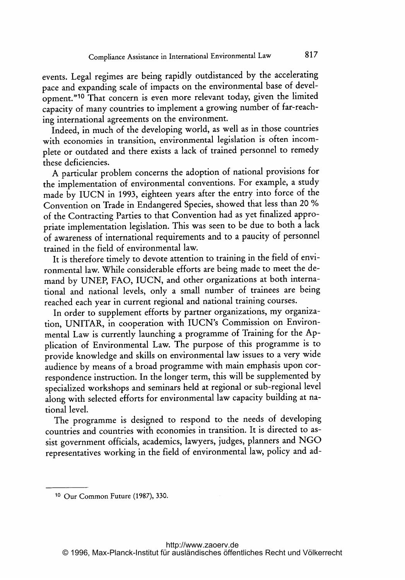events. Legal regimes are being rapidly outdistanced by the accelerating pace and expanding scale of impacts on the environmental base of development."10 That concern is even more relevant today, given the limited capacity of many countries to implement <sup>a</sup> growing number of far-reaching international agreements on the environment.

Indeed, in much of the developing world, as well as in those countries with economies in transition, environmental legislation is often incomplete or outdated and there exists <sup>a</sup> lack of trained personnel to remedy these deficiencies.

A particular problem concerns the adoption of national provisions for the implementation of environmental conventions. For example, <sup>a</sup> study made by IUCN in 1993, eighteen years after the entry into force of the Convention on Trade in Endangered Species, showed that less than <sup>20</sup> % of the Contracting Parties to that Convention had as yet finalized appropriate implementation legislation. This was seen to be due to both <sup>a</sup> lack of awareness of international requirements and to <sup>a</sup> paucity of personnel trained in the field of environmental law.

It is therefore timely to devote attention to training in the field of environmental law. While considerable efforts are being made to meet the demand by UNEP, FAO, IUCN, and other organizations at both international and national levels, only <sup>a</sup> small number of trainees are being reached each year in current regional and national training courses.

In order to supplement efforts by partner organizations, my organization, UNITAR, in cooperation with IUCN's Commission on Environmental Law is currently launching <sup>a</sup> programme of Training for the Application of Environmental Law. The purpose of this programme is to provide knowledge and skills on environmental law issues to <sup>a</sup> very wide audience by means of a broad programme with main emphasis upon correspondence instruction. In the longer term, this will be supplemented by specialized workshops and seminars held at regional or sub-regional level along with selected efforts for environmental law capacity building at national level.

The programme is designed to respond to the needs of developing countries and countries with economies in transition. It is directed to assist government officials, academics, lawyers, judges, planners and NGO representatives working in the field of environmental law, policy and ad-

<sup>10</sup> Our Common Future (1987), 330.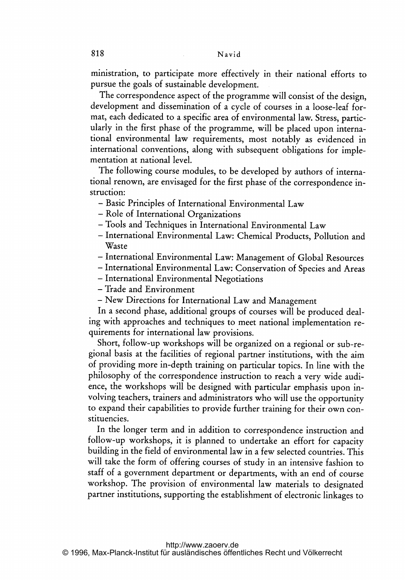ministration, to participate more effectively in their national efforts to pursue the goals of sustainable development.

The correspondence aspect of the programme will consist of the design, development and dissemination of <sup>a</sup> cycle of courses in <sup>a</sup> loose-leaf format, each dedicated to <sup>a</sup> specific area of environmental law. Stress, particularly in the first phase of the programme, will be placed upon international environmental law requirements, most notably as evidenced in international conventions, along with subsequent obligations for implementation at national level.

The following course modules, to be developed by authors of international renown, are envisaged for the first phase of the correspondence instruction:

- Basic Principles of International Environmental Law
- Role of International Organizations
- Tools and Techniques in International Environmental Law
- International Environmental Law: Chemical Products, Pollution and Waste
- International Environmental Law: Management of Global Resources
- International Environmental Law: Conservation of Species and Areas
- International Environmental Negotiations
- Trade and Environment
- New Directions for International Law and Management

In <sup>a</sup> second phase, additional groups of courses will be produced dealing with approaches and techniques to meet national implementation requirements for international law provisions.

Short, follow-up workshops will be organized on <sup>a</sup> regional or sub-regional basis at the facilities of regional partner institutions, with the aim of providing more in-depth training on particular topics. In line with the philosophy of the correspondence instruction to reach <sup>a</sup> very wide audience, the workshops will be designed with particular emphasis upon involving teachers, trainers and administrators who will use the opportunity to expand their capabilities to provide further training for their own constituencies.

In the longer term and in addition to correspondence instruction and follow-up workshops, it is planned to undertake an effort for capacity building in the field of environmental law in a few selected countries. This will take the form of offering courses of study in an intensive fashion to staff of <sup>a</sup> government department or departments, with an end of course workshop. The provision of environmental law materials to designated partner institutions, supporting the establishment of electronic linkages to

<http://www.zaoerv.de> © 1996, Max-Planck-Institut für ausländisches öffentliches Recht und Völkerrecht